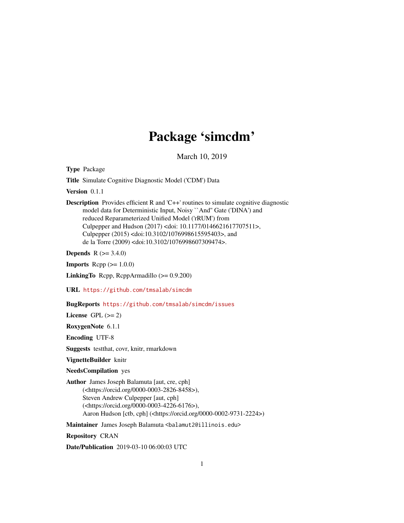## Package 'simcdm'

March 10, 2019

<span id="page-0-0"></span>Type Package

Title Simulate Cognitive Diagnostic Model ('CDM') Data

Version 0.1.1

Description Provides efficient R and 'C++' routines to simulate cognitive diagnostic model data for Deterministic Input, Noisy ``And'' Gate ('DINA') and reduced Reparameterized Unified Model ('rRUM') from Culpepper and Hudson (2017) <doi: 10.1177/0146621617707511>, Culpepper (2015) <doi:10.3102/1076998615595403>, and de la Torre (2009) <doi:10.3102/1076998607309474>.

**Depends** R  $(>= 3.4.0)$ 

**Imports** Rcpp  $(>= 1.0.0)$ 

LinkingTo Rcpp, RcppArmadillo (>= 0.9.200)

URL <https://github.com/tmsalab/simcdm>

BugReports <https://github.com/tmsalab/simcdm/issues>

License GPL  $(>= 2)$ 

RoxygenNote 6.1.1

Encoding UTF-8

Suggests testthat, covr, knitr, rmarkdown

VignetteBuilder knitr

NeedsCompilation yes

Author James Joseph Balamuta [aut, cre, cph] (<https://orcid.org/0000-0003-2826-8458>), Steven Andrew Culpepper [aut, cph] (<https://orcid.org/0000-0003-4226-6176>), Aaron Hudson [ctb, cph] (<https://orcid.org/0000-0002-9731-2224>)

Maintainer James Joseph Balamuta <br/>balamut2@illinois.edu>

Repository CRAN

Date/Publication 2019-03-10 06:00:03 UTC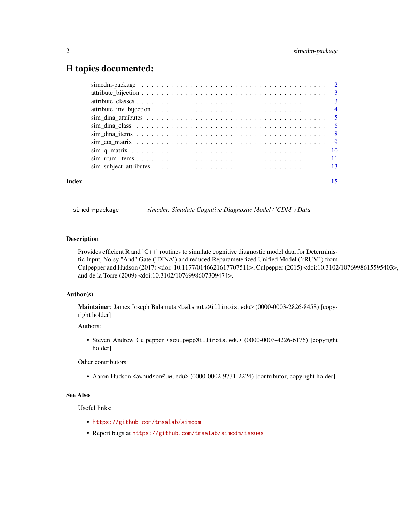### <span id="page-1-0"></span>R topics documented:

| Index | 15 |
|-------|----|

simcdm-package *simcdm: Simulate Cognitive Diagnostic Model ('CDM') Data*

#### Description

Provides efficient R and 'C++' routines to simulate cognitive diagnostic model data for Deterministic Input, Noisy "And" Gate ('DINA') and reduced Reparameterized Unified Model ('rRUM') from Culpepper and Hudson (2017) <doi: 10.1177/0146621617707511>, Culpepper (2015) <doi:10.3102/1076998615595403>, and de la Torre (2009) <doi:10.3102/1076998607309474>.

#### Author(s)

Maintainer: James Joseph Balamuta <br/>balamut2@illinois.edu> (0000-0003-2826-8458) [copyright holder]

Authors:

• Steven Andrew Culpepper <sculpepp@illinois.edu> (0000-0003-4226-6176) [copyright holder]

Other contributors:

• Aaron Hudson <awhudson@uw.edu> (0000-0002-9731-2224) [contributor, copyright holder]

#### See Also

Useful links:

- <https://github.com/tmsalab/simcdm>
- Report bugs at <https://github.com/tmsalab/simcdm/issues>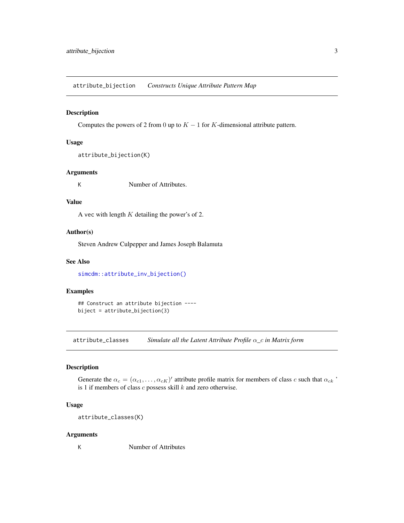<span id="page-2-0"></span>attribute\_bijection *Constructs Unique Attribute Pattern Map*

#### Description

Computes the powers of 2 from 0 up to  $K - 1$  for K-dimensional attribute pattern.

#### Usage

```
attribute_bijection(K)
```
#### Arguments

K Number of Attributes.

#### Value

A vec with length  $K$  detailing the power's of 2.

#### Author(s)

Steven Andrew Culpepper and James Joseph Balamuta

#### See Also

[simcdm::attribute\\_inv\\_bijection\(\)](#page-0-0)

#### Examples

## Construct an attribute bijection --- biject = attribute\_bijection(3)

attribute\_classes *Simulate all the Latent Attribute Profile* α*\_*c *in Matrix form*

#### Description

Generate the  $\alpha_c = (\alpha_{c1}, \dots, \alpha_{cK})'$  attribute profile matrix for members of class c such that  $\alpha_{ck}$ <sup>\*</sup> is 1 if members of class  $c$  possess skill  $k$  and zero otherwise.

#### Usage

attribute\_classes(K)

#### Arguments

K Number of Attributes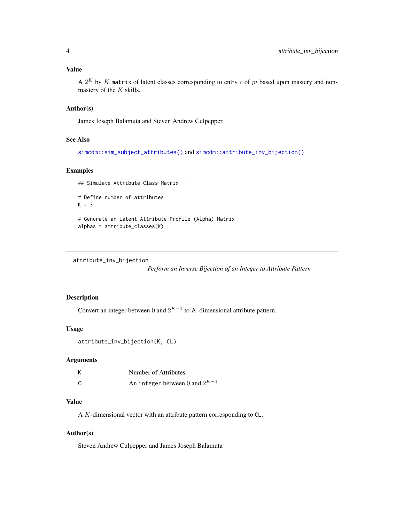#### <span id="page-3-0"></span>Value

A  $2^K$  by  $K$  matrix of latent classes corresponding to entry  $c$  of  $pi$  based upon mastery and nonmastery of the  $K$  skills.

#### Author(s)

James Joseph Balamuta and Steven Andrew Culpepper

#### See Also

[simcdm::sim\\_subject\\_attributes\(\)](#page-0-0) and [simcdm::attribute\\_inv\\_bijection\(\)](#page-0-0)

#### Examples

## Simulate Attribute Class Matrix ----

```
# Define number of attributes
K = 3# Generate an Latent Attribute Profile (Alpha) Matrix
```
alphas = attribute\_classes(K)

attribute\_inv\_bijection

*Perform an Inverse Bijection of an Integer to Attribute Pattern*

#### Description

Convert an integer between 0 and  $2^{K-1}$  to K-dimensional attribute pattern.

#### Usage

```
attribute_inv_bijection(K, CL)
```
#### Arguments

| К  | Number of Attributes.              |
|----|------------------------------------|
| СL | An integer between 0 and $2^{K-1}$ |

#### Value

A K-dimensional vector with an attribute pattern corresponding to CL.

#### Author(s)

Steven Andrew Culpepper and James Joseph Balamuta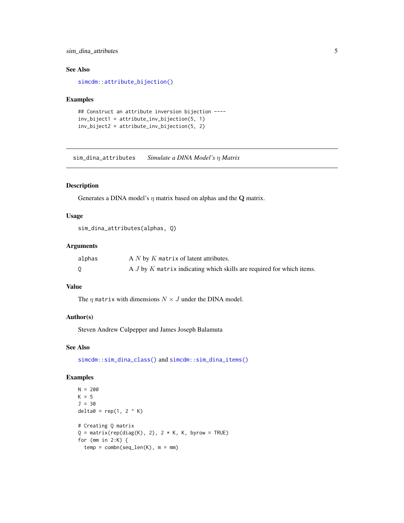#### <span id="page-4-0"></span>sim\_dina\_attributes 5

#### See Also

[simcdm::attribute\\_bijection\(\)](#page-0-0)

#### Examples

```
## Construct an attribute inversion bijection ----
inv_biject1 = attribute_inv_bijection(5, 1)
inv_biject2 = attribute_inv_bijection(5, 2)
```
sim\_dina\_attributes *Simulate a DINA Model's* η *Matrix*

#### Description

Generates a DINA model's  $\eta$  matrix based on alphas and the Q matrix.

#### Usage

sim\_dina\_attributes(alphas, Q)

#### Arguments

| alphas | A $N$ by $K$ matrix of latent attributes.                                 |
|--------|---------------------------------------------------------------------------|
|        | A $J$ by $K$ matrix indicating which skills are required for which items. |

#### Value

The  $\eta$  matrix with dimensions  $N \times J$  under the DINA model.

#### Author(s)

Steven Andrew Culpepper and James Joseph Balamuta

#### See Also

[simcdm::sim\\_dina\\_class\(\)](#page-0-0) and [simcdm::sim\\_dina\\_items\(\)](#page-0-0)

```
N = 200K = 5J = 30
delta = rep(1, 2 \land K)# Creating Q matrix
Q = matrix(rep(diag(K), 2), 2 * K, K, byrow = TRUE)for (mm in 2:K) {
  temp = combn(seq_length(K), m = mm)
```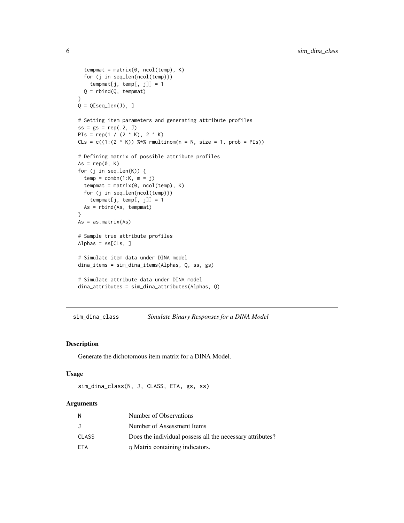```
tempmat = matrix(0, ncol(temp), K)for (j in seq_len(ncol(temp)))
   tempmat[j, temp[, j]] = 1
  Q = rbind(Q, tempmat)
}
Q = Q[seq\_len(J), ]# Setting item parameters and generating attribute profiles
ss = gs = rep(.2, J)PIs = rep(1 / (2 \land K), 2 \land K)
C\text{Ls} = c((1:(2 \wedge K)) %*% rmultinom(n = N, size = 1, prob = PIs))
# Defining matrix of possible attribute profiles
As = rep(0, K)for (j in seq_len(K)) {
  temp = combn(1:K, m = j)tempmat = matrix(0, ncol(temp), K)
  for (j in seq_len(ncol(temp)))
   tempmat[j, temp[, j]] = 1As = rbind(As, tempmat)
}
As = as.matrix(As)# Sample true attribute profiles
Alphas = As[CLs, ]
# Simulate item data under DINA model
dina_items = sim_dina_items(Alphas, Q, ss, gs)
# Simulate attribute data under DINA model
dina_attributes = sim_dina_attributes(Alphas, Q)
```
sim\_dina\_class *Simulate Binary Responses for a DINA Model*

#### Description

Generate the dichotomous item matrix for a DINA Model.

#### Usage

```
sim_dina_class(N, J, CLASS, ETA, gs, ss)
```
#### Arguments

| N          | Number of Observations                                    |
|------------|-----------------------------------------------------------|
| J          | Number of Assessment Items                                |
| CLASS      | Does the individual possess all the necessary attributes? |
| <b>FTA</b> | $\eta$ Matrix containing indicators.                      |

<span id="page-5-0"></span>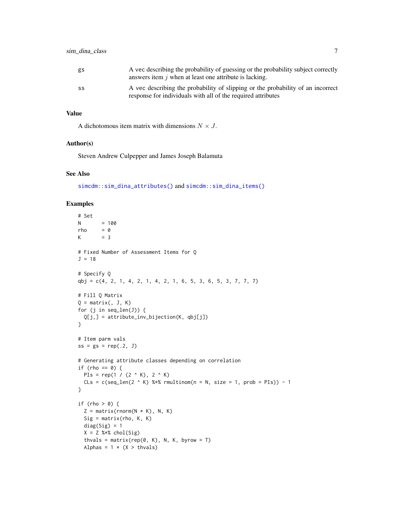<span id="page-6-0"></span>

| gs | A vec describing the probability of guessing or the probability subject correctly<br>answers item $\dot{\jmath}$ when at least one attribute is lacking. |
|----|----------------------------------------------------------------------------------------------------------------------------------------------------------|
| SS | A vec describing the probability of slipping or the probability of an incorrect<br>response for individuals with all of the required attributes          |

#### Value

A dichotomous item matrix with dimensions  $N \times J$ .

#### Author(s)

Steven Andrew Culpepper and James Joseph Balamuta

#### See Also

[simcdm::sim\\_dina\\_attributes\(\)](#page-0-0) and [simcdm::sim\\_dina\\_items\(\)](#page-0-0)

```
# Set
N = 100
rho = \thetaK = 3# Fixed Number of Assessment Items for Q
J = 18# Specify Q
qbj = c(4, 2, 1, 4, 2, 1, 4, 2, 1, 6, 5, 3, 6, 5, 3, 7, 7, 7)# Fill Q Matrix
Q = matrix(, J, K)
for (j in seq_len(J)) {
  Q[j,] = attribute_inv_bijection(K, qbj[j])
}
# Item parm vals
ss = gs = rep(.2, J)# Generating attribute classes depending on correlation
if (rho == 0) {
 PIs = rep(1 / (2 \land K), 2 \land K)
  CLs = c(seq_len(2 ^ K) %*% rmultinom(n = N, size = 1, prob = PIs)) - 1
}
if (rho > 0) {
  Z = matrix(rnorm(N * K), N, K)Sig = matrix(rho, K, K)
  diag(Sig) = 1X = Z %*% chol(Sig)
  thvals = matrix(rep(\emptyset, K), N, K, byrow = T)Alphas = 1 * (X > thvals)
```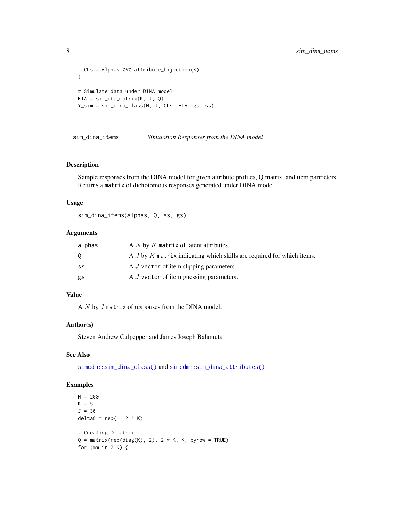```
CLs = Alphas %*% attribute_bijection(K)
}
# Simulate data under DINA model
ETA = sim_eta_matrix(K, J, Q)
Y_sim = sim_dina_class(N, J, CLs, ETA, gs, ss)
```
sim\_dina\_items *Simulation Responses from the DINA model*

#### Description

Sample responses from the DINA model for given attribute profiles, Q matrix, and item parmeters. Returns a matrix of dichotomous responses generated under DINA model.

#### Usage

sim\_dina\_items(alphas, Q, ss, gs)

#### Arguments

| alphas | A $N$ by $K$ matrix of latent attributes.                                 |
|--------|---------------------------------------------------------------------------|
| 0      | A $J$ by $K$ matrix indicating which skills are required for which items. |
| SS     | A J vector of item slipping parameters.                                   |
| gs     | A <i>J</i> vector of item guessing parameters.                            |

#### Value

A N by J matrix of responses from the DINA model.

#### Author(s)

Steven Andrew Culpepper and James Joseph Balamuta

#### See Also

[simcdm::sim\\_dina\\_class\(\)](#page-0-0) and [simcdm::sim\\_dina\\_attributes\(\)](#page-0-0)

```
N = 200K = 5J = 30
delta = rep(1, 2 < K)# Creating Q matrix
Q = matrix(rep(diag(K), 2), 2 * K, K, byrow = TRUE)for (mm in 2:K) {
```
<span id="page-7-0"></span>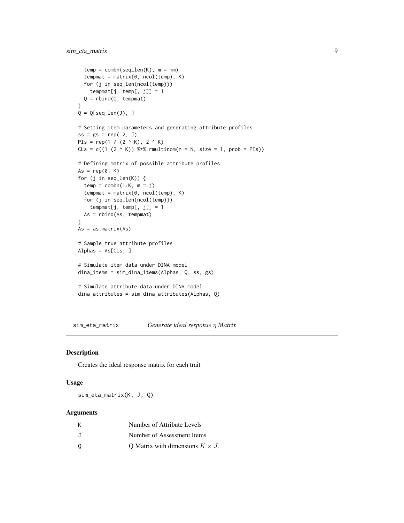```
temp = combn(seq_length(K), m = mm)tempmat = matrix(0, ncol(temp), K)for (j in seq_len(ncol(temp)))
   tempmat[j, temp[, j]] = 1
  Q = rbind(Q, tempmat)
}
Q = Q[seq\_len(J), ]# Setting item parameters and generating attribute profiles
ss = gs = rep(.2, J)PIs = rep(1 / (2 \land K), 2 \land K)CLs = c((1:(2 \wedge K)) %*% rmultinom(n = N, size = 1, prob = PIs))
# Defining matrix of possible attribute profiles
As = rep(0, K)for (j in seq_len(K)) {
  temp = combn(1:K, m = j)tempmat = matrix(0, ncol(temp), K)
  for (j in seq_len(ncol(temp)))
    tempmat[j, temp[, j]] = 1As = rbind(As, tempmat)
}
As = as.matrix(As)
# Sample true attribute profiles
Alphas = As[CLs, ]
# Simulate item data under DINA model
dina_items = sim_dina_items(Alphas, Q, ss, gs)
# Simulate attribute data under DINA model
dina_attributes = sim_dina_attributes(Alphas, Q)
```
sim\_eta\_matrix *Generate ideal response* η *Matrix*

#### Description

Creates the ideal response matrix for each trait

#### Usage

sim\_eta\_matrix(K, J, Q)

#### Arguments

| к | Number of Attribute Levels              |
|---|-----------------------------------------|
| J | Number of Assessment Items              |
| 0 | O Matrix with dimensions $K \times J$ . |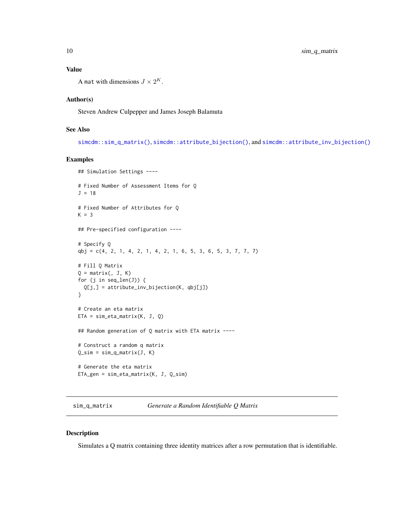#### Value

A mat with dimensions  $J \times 2^K$ .

#### Author(s)

Steven Andrew Culpepper and James Joseph Balamuta

#### See Also

[simcdm::sim\\_q\\_matrix\(\)](#page-0-0), [simcdm::attribute\\_bijection\(\)](#page-0-0), and [simcdm::attribute\\_inv\\_bijection\(\)](#page-0-0)

#### Examples

```
## Simulation Settings ----
# Fixed Number of Assessment Items for Q
J = 18# Fixed Number of Attributes for Q
K = 3## Pre-specified configuration ----
# Specify Q
qbj = c(4, 2, 1, 4, 2, 1, 4, 2, 1, 6, 5, 3, 6, 5, 3, 7, 7, 7)
# Fill Q Matrix
Q = matrix(, J, K)
for (j in seq_len(J)) {
  Q[j,] = attribute_inv_bijection(K, qbj[j])
}
# Create an eta matrix
ETA = sim_eta_matrix(K, J, Q)
## Random generation of Q matrix with ETA matrix ----
# Construct a random q matrix
Q_ssim = sim_q_matrix(J, K)
# Generate the eta matrix
ETA_gen = sim_eta_matrix(K, J, Q_sim)
```
sim\_q\_matrix *Generate a Random Identifiable Q Matrix*

#### Description

Simulates a Q matrix containing three identity matrices after a row permutation that is identifiable.

<span id="page-9-0"></span>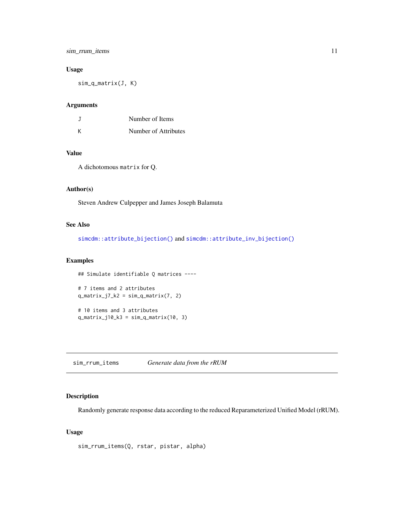#### <span id="page-10-0"></span>sim\_rrum\_items 11

#### Usage

sim\_q\_matrix(J, K)

#### Arguments

| J | Number of Items      |
|---|----------------------|
| Κ | Number of Attributes |

#### Value

A dichotomous matrix for Q.

#### Author(s)

Steven Andrew Culpepper and James Joseph Balamuta

#### See Also

[simcdm::attribute\\_bijection\(\)](#page-0-0) and [simcdm::attribute\\_inv\\_bijection\(\)](#page-0-0)

#### Examples

## Simulate identifiable Q matrices ----

```
# 7 items and 2 attributes
q_matrix_j7_k2 = sim_q_matrix(7, 2)
```
# 10 items and 3 attributes q\_matrix\_j10\_k3 = sim\_q\_matrix(10, 3)

sim\_rrum\_items *Generate data from the rRUM*

#### Description

Randomly generate response data according to the reduced Reparameterized Unified Model (rRUM).

#### Usage

```
sim_rrum_items(Q, rstar, pistar, alpha)
```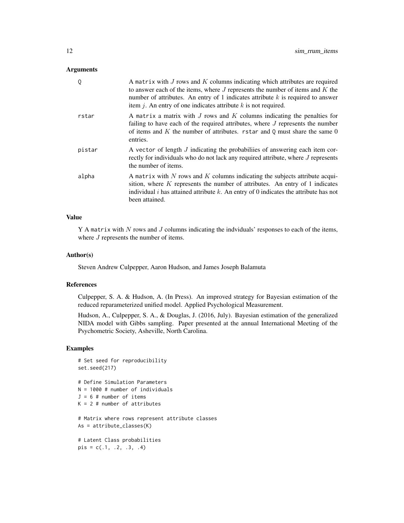#### **Arguments**

| 0      | A matrix with $J$ rows and $K$ columns indicating which attributes are required<br>to answer each of the items, where $J$ represents the number of items and $K$ the<br>number of attributes. An entry of 1 indicates attribute $k$ is required to answer<br>item $j$ . An entry of one indicates attribute $k$ is not required. |
|--------|----------------------------------------------------------------------------------------------------------------------------------------------------------------------------------------------------------------------------------------------------------------------------------------------------------------------------------|
| rstar  | A matrix a matrix with $J$ rows and $K$ columns indicating the penalties for<br>failing to have each of the required attributes, where $J$ represents the number<br>of items and K the number of attributes. rstar and Q must share the same $0$<br>entries.                                                                     |
| pistar | A vector of length J indicating the probabilies of answering each item cor-<br>rectly for individuals who do not lack any required attribute, where J represents<br>the number of items.                                                                                                                                         |
| alpha  | A matrix with $N$ rows and $K$ columns indicating the subjects attribute acqui-<br>sition, where $K$ represents the number of attributes. An entry of 1 indicates<br>individual i has attained attribute k. An entry of 0 indicates the attribute has not<br>been attained.                                                      |

#### Value

 $Y$  A matrix with  $N$  rows and  $J$  columns indicating the indviduals' responses to each of the items, where  $J$  represents the number of items.

#### Author(s)

Steven Andrew Culpepper, Aaron Hudson, and James Joseph Balamuta

#### References

Culpepper, S. A. & Hudson, A. (In Press). An improved strategy for Bayesian estimation of the reduced reparameterized unified model. Applied Psychological Measurement.

Hudson, A., Culpepper, S. A., & Douglas, J. (2016, July). Bayesian estimation of the generalized NIDA model with Gibbs sampling. Paper presented at the annual International Meeting of the Psychometric Society, Asheville, North Carolina.

```
# Set seed for reproducibility
set.seed(217)
# Define Simulation Parameters
N = 1000 # number of individuals
J = 6 # number of items
K = 2 # number of attributes
# Matrix where rows represent attribute classes
As = attribute_classes(K)
# Latent Class probabilities
pis = c(.1, .2, .3, .4)
```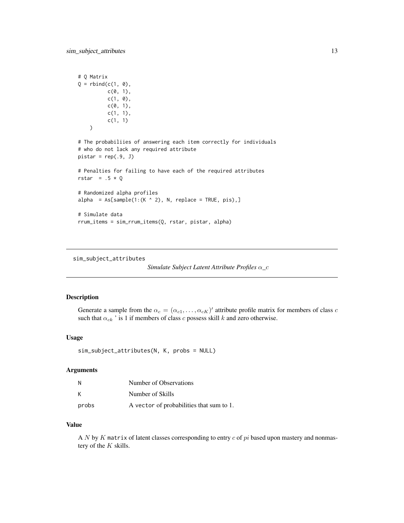```
# Q Matrix
Q = \text{rbind}(c(1, 0)),c(\emptyset, 1),
          c(1, 0),
          c(\emptyset, 1),
          c(1, 1),c(1, 1)
   )
# The probabiliies of answering each item correctly for individuals
# who do not lack any required attribute
pistar = rep(.9, J)# Penalties for failing to have each of the required attributes
rstar = .5 * Q# Randomized alpha profiles
alpha = As[sample(1:(K ^ a 2), N, replace = TRUE, pis),]# Simulate data
rrum_items = sim_rrum_items(Q, rstar, pistar, alpha)
```
sim\_subject\_attributes

```
Simulate Subject Latent Attribute Profiles α_c
```
#### Description

Generate a sample from the  $\alpha_c = (\alpha_{c1}, \dots, \alpha_{cK})'$  attribute profile matrix for members of class c such that  $\alpha_{ck}$  ' is 1 if members of class c possess skill k and zero otherwise.

#### Usage

```
sim_subject_attributes(N, K, probs = NULL)
```
#### Arguments

| Ν     | Number of Observations                   |
|-------|------------------------------------------|
| K     | Number of Skills                         |
| probs | A vector of probabilities that sum to 1. |

#### Value

A N by K matrix of latent classes corresponding to entry  $c$  of  $pi$  based upon mastery and nonmastery of the  $K$  skills.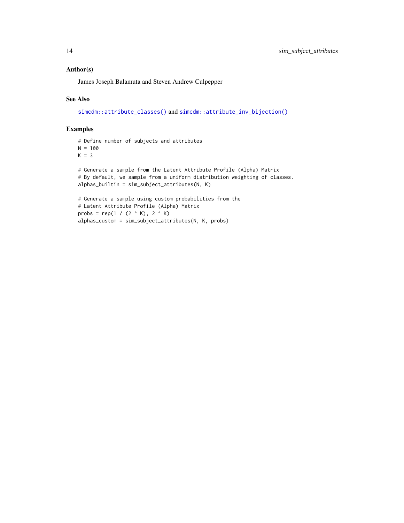#### <span id="page-13-0"></span>Author(s)

James Joseph Balamuta and Steven Andrew Culpepper

#### See Also

[simcdm::attribute\\_classes\(\)](#page-0-0) and [simcdm::attribute\\_inv\\_bijection\(\)](#page-0-0)

```
# Define number of subjects and attributes
N = 100K = 3# Generate a sample from the Latent Attribute Profile (Alpha) Matrix
# By default, we sample from a uniform distribution weighting of classes.
alphas_builtin = sim_subject_attributes(N, K)
# Generate a sample using custom probabilities from the
# Latent Attribute Profile (Alpha) Matrix
probs = rep(1 / (2 \land K), 2 \land K)alphas_custom = sim_subject_attributes(N, K, probs)
```